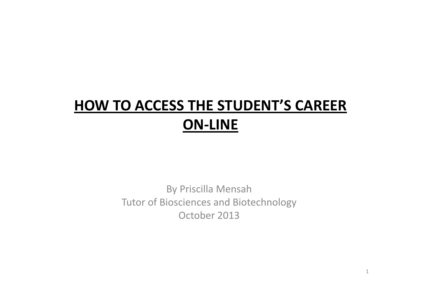# **HOW TO ACCESS THE STUDENT'S CAREER ON‐LINE**

By Priscilla Mensah Tutor of Biosciences and Biotechnology October 2013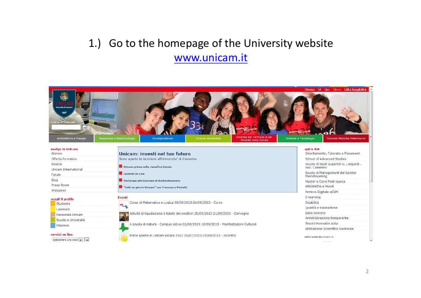### 1.) Go to the homepage of the University website www.unicam.it

| ersità di Camerino<br>1336<br>Cerca in Unicam<br>vai<br>Architettura e Design | <b>IVERSITY AREAMS</b><br>Scienze del Farmaco e dei<br>Bioscienze e Biotecnologie<br>Giurisprudenza<br>Scienze Ambientali<br>Prodotti della Salute | $ A $ $ A+ A++ $ Alta leggibilità<br>Home<br>Marve ASI CAMEAN<br>Scienze e Tecnologie<br>Scienze Mediche Veterinarie |
|-------------------------------------------------------------------------------|----------------------------------------------------------------------------------------------------------------------------------------------------|----------------------------------------------------------------------------------------------------------------------|
| naviga in Unicam<br>Ateneo                                                    | Unicam: investi nel tuo futuro                                                                                                                     | quick link<br>Orientamento, Tutorato e Placement                                                                     |
| Offerta formativa                                                             | Sono aperte le iscrizioni all'Universita' di Camerino                                                                                              | School of Advanced Studies                                                                                           |
| Ricerca                                                                       |                                                                                                                                                    | Scuola di Studi Superiori G. Leopardi -                                                                              |
| Unicam International                                                          | Unicam prima nella classifica Censis                                                                                                               | Sez. Camerino                                                                                                        |
| Forum                                                                         | <b>Iscriviti On Line</b>                                                                                                                           | Scuola di Management del Gender<br>Mainstreaming                                                                     |
| <b>Blog</b>                                                                   | Partecipa alle Giornate di Ambientamento                                                                                                           | Master e Corsi Post-laurea                                                                                           |
| Press Room                                                                    | "fatti un giro in Unicam" con Francesco Petretti                                                                                                   | Biblioteche e Musei                                                                                                  |
| Welcome!                                                                      |                                                                                                                                                    | Archivio Digitale eCUM                                                                                               |
| scegli il profilo                                                             | <b>Eventi</b>                                                                                                                                      | E-learning                                                                                                           |
| Studente                                                                      | Corso di Matematica e Logica 09/09/2013-24/09/2013 - Corso                                                                                         | <b>Disabilità</b>                                                                                                    |
| Laureato                                                                      |                                                                                                                                                    | Qualità e Valutazione                                                                                                |
| Personale Unicam                                                              | Attività di liquidazione e tutela dei creditori 20/09/2013-21/09/2013 - Convegno                                                                   | Esito concorsi                                                                                                       |
| Scuola e Università                                                           |                                                                                                                                                    | Amministrazione trasparente                                                                                          |
| Impresa                                                                       | A scuola di natura - Campus estivo 02/09/2013-10/09/2013 - Manifestazioni Culturali                                                                | Tirocini Formativi Attivi                                                                                            |
|                                                                               |                                                                                                                                                    | Abilitazione Scientifica Nazionale                                                                                   |
| servizi on line<br>selezionare una voce vil vai                               | Porte aperte in Unicam estate 2013 15/07/2013-25/09/2013 - Incontro                                                                                | webmaster@unicam.it<br>$\overline{\phantom{a}}$                                                                      |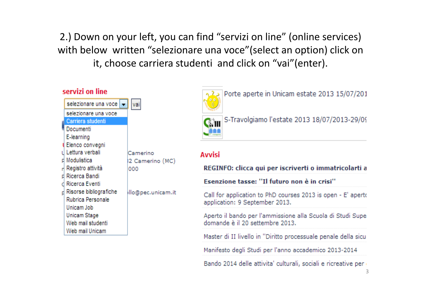2.) Down on your left, you can find "servizi on line" (online services) with below written "selezionare una voce" (select an option) click on it, choose carriera studenti and click on "vai"(enter).

| servizi on line        |                      |
|------------------------|----------------------|
|                        |                      |
| selezionare una voce   |                      |
| Carriera studenti      |                      |
| Documenti              |                      |
| E-learning             |                      |
| Elenco convegni        |                      |
| Lettura verbali        | Camerino             |
| Modulistica            | 2 Camerino (MC)      |
| Registro attività      | ooo                  |
| Ricerca Bandi          |                      |
| Ricerca Eventi         |                      |
| Risorse bibliografiche | ∤llo@pec.unicam.it   |
| Rubrica Personale      |                      |
| Unicam Job             |                      |
| <b>Unicam Stage</b>    |                      |
| Web mail studenti      |                      |
| Web mail Unicam        |                      |
|                        | selezionare una voce |



Porte aperte in Unicam estate 2013 15/07/201

## CMII S-Travolgiamo l'estate 2013 18/07/2013-29/09

#### **Avvisi**

#### REGINFO: clicca qui per iscriverti o immatricolarti a

Esenzione tasse: "Il futuro non è in crisi"

Call for application to PhD courses 2013 is open - E' aperto application: 9 September 2013.

Aperto il bando per l'ammissione alla Scuola di Studi Supe domande è il 20 settembre 2013.

Master di II livello in "Diritto processuale penale della sicul

Manifesto degli Studi per l'anno accademico 2013-2014

Bando 2014 delle attivita' culturali, sociali e ricreative per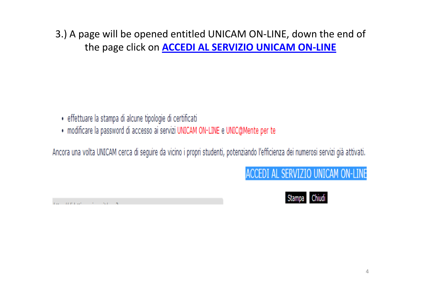3.) A page will be opened entitled UNICAM ON ‐LINE, down the end of the page click on **ACCEDI AL SERVIZIO UNICAM ON ‐LINE**

- · effettuare la stampa di alcune tipologie di certificati
- · modificare la password di accesso ai servizi UNICAM ON-LINE e UNIC@Mente per te

Ancora una volta UNICAM cerca di seguire da vicino i propri studenti, potenziando l'efficienza dei numerosi servizi già attivati.

## ACCEDI AL SERVIZIO UNICAM ON-LINE

and the energy of the state

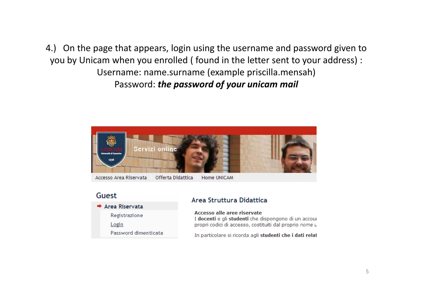4.) On the page that appears, login using the username and password given to you by Unicam when you enrolled ( found in the letter sent to your address) : Username: name.surname (example priscilla.mensah) P d assword: *the password of your unicam mail*



#### Guest



#### Area Struttura Didattica

Accesso alle aree riservate I docenti e gli studenti che dispongono di un accour propri codici di accesso, costituiti dal proprio nome u

In particolare si ricorda agli studenti che i dati relat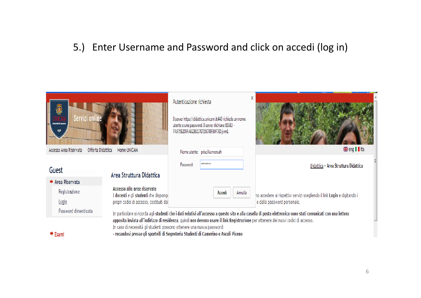#### ). Enter Username and Password and click on accedi (log in)

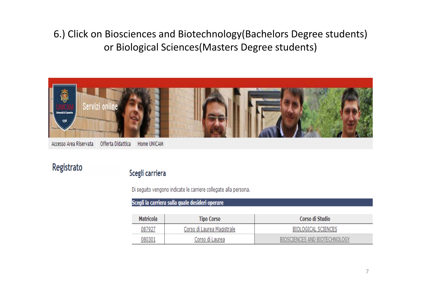#### 6.) Click on Biosciences and Biotechnology(Bachelors Degree students) or Biological Sciences(Masters Degree students)



Accesso Area Riservata Offerta Didattica Home UNICAM

Registrato

#### Scegli carriera

Di seguito vengono indicate le carriere collegate alla persona.

Scegli la carriera sulla quale desideri operare

| <b>Matricola</b> | <b>Tipo Corso</b>          | Corso di Studio               |
|------------------|----------------------------|-------------------------------|
| 087927           | Corso di Laurea Magistrale | BIOLOGICAL SCIENCES           |
| 080301           | Corso di Laurea            | BIOSCIENCES AND BIOTECHNOLOGY |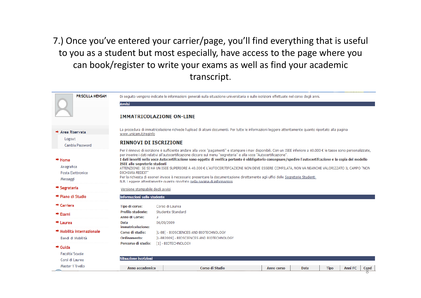7.) Once you've entered your carrier/page, you'll find everything that is useful to you as <sup>a</sup> student but most especially, have access to the page where you can book/register to write your exams as well as find your academic transcript.

| <b>PRISCILLA MENSAH</b>                                 | Di seguito vengono indicate le informazioni generali sulla situazione universitaria e sulle iscrizioni effettuate nel corso degli anni.                                                                                                                                                                                                                                                                                                                                                                                                                                                                                                                                                                                                                                                                                                                                             |      |  |  |  |  |  |  |
|---------------------------------------------------------|-------------------------------------------------------------------------------------------------------------------------------------------------------------------------------------------------------------------------------------------------------------------------------------------------------------------------------------------------------------------------------------------------------------------------------------------------------------------------------------------------------------------------------------------------------------------------------------------------------------------------------------------------------------------------------------------------------------------------------------------------------------------------------------------------------------------------------------------------------------------------------------|------|--|--|--|--|--|--|
|                                                         | <b>Avvisi</b>                                                                                                                                                                                                                                                                                                                                                                                                                                                                                                                                                                                                                                                                                                                                                                                                                                                                       |      |  |  |  |  |  |  |
|                                                         | <b>IMMATRICOLAZIONE ON-LINE</b>                                                                                                                                                                                                                                                                                                                                                                                                                                                                                                                                                                                                                                                                                                                                                                                                                                                     |      |  |  |  |  |  |  |
| → Area Riservata                                        | La procedura di immatricolazione richiede l'upload di alcuni documenti. Per tutte le informazioni leggere attentamente quanto riportato alla pagina<br>www.unicam.it/reginfo                                                                                                                                                                                                                                                                                                                                                                                                                                                                                                                                                                                                                                                                                                        |      |  |  |  |  |  |  |
| Logout<br>Cambia Password                               | <b>RINNOVI DI ISCRIZIONE</b>                                                                                                                                                                                                                                                                                                                                                                                                                                                                                                                                                                                                                                                                                                                                                                                                                                                        |      |  |  |  |  |  |  |
| $+$ Home<br>Anagrafica<br>Posta Elettronica<br>Messaggi | Per il rinnovo di iscrizione è sufficiente andare alla voce "pagamenti" e stampare i mav disponibili. Con un ISEE inferiore a 40.000 € le tasse sono personalizzate,<br>per inserire i dati relativi all'autocertificazione cliccare sul menu "segreteria" e alla voce "Autocertificazione".<br>I dati inseriti nella voce Autocertifcazione sono oggetto di verifica pertanto è obbligatorio consegnare/spedire l'autocertifcazione e la copia del modello<br><b>ISEE alle segreterie studenti</b><br>ATTENZIONE: SE SI HA UN ISEE SUPERIORE A 40.000 € L'AUTOCERITIFCAZIONE NON DEVE ESSERE COMPILATA, NON VA NEANCHE VALORIZZATO IL CAMPO "NON<br>DICHIARA REDDIT"<br>Per la richiesta di esoneri invece è necessario presentare la documentazione direttamente agli uffici delle Segreterie Studenti<br>N.B. Leggere attentamente quanto riportato nella pagina di informazioni |      |  |  |  |  |  |  |
| $\Rightarrow$ Segreteria                                | Versione stampabile degli avvisi                                                                                                                                                                                                                                                                                                                                                                                                                                                                                                                                                                                                                                                                                                                                                                                                                                                    |      |  |  |  |  |  |  |
| → Piano di Studio                                       | Informazioni sullo studente                                                                                                                                                                                                                                                                                                                                                                                                                                                                                                                                                                                                                                                                                                                                                                                                                                                         |      |  |  |  |  |  |  |
| $\rightarrow$ Carriera                                  | Tipo di corso:<br>Corso di Laurea                                                                                                                                                                                                                                                                                                                                                                                                                                                                                                                                                                                                                                                                                                                                                                                                                                                   |      |  |  |  |  |  |  |
| $\rightarrow$ Esami                                     | <b>Profilo studente:</b><br>Studente Standard                                                                                                                                                                                                                                                                                                                                                                                                                                                                                                                                                                                                                                                                                                                                                                                                                                       |      |  |  |  |  |  |  |
| $\rightarrow$ Laurea                                    | Anno di Corso:<br>3<br>Data<br>06/09/2009                                                                                                                                                                                                                                                                                                                                                                                                                                                                                                                                                                                                                                                                                                                                                                                                                                           |      |  |  |  |  |  |  |
| → Mobilità internazionale<br>Bandi di Mobilità          | immatricolazione:<br>Corso di studio:<br>[L-BB] - BIOSCIENCES AND BIOTECHNOLOGY<br>Ordinamento:<br>[L-BB2009] - BIOSCIENCES AND BIOTECHNOLOGY                                                                                                                                                                                                                                                                                                                                                                                                                                                                                                                                                                                                                                                                                                                                       |      |  |  |  |  |  |  |
| $\rightarrow$ Guida                                     | Percorso di studio:<br>[1] - BIOTECHNOLOGY                                                                                                                                                                                                                                                                                                                                                                                                                                                                                                                                                                                                                                                                                                                                                                                                                                          |      |  |  |  |  |  |  |
| Facoltà/Scuole<br>Corsi di Laurea                       | <b>Situazione iscrizioni</b>                                                                                                                                                                                                                                                                                                                                                                                                                                                                                                                                                                                                                                                                                                                                                                                                                                                        |      |  |  |  |  |  |  |
| Master 1'livello                                        | <b>Anno accademico</b><br>Corso di Studio<br><b>Anni FC</b><br>Data<br>Tipo<br>Anno corso                                                                                                                                                                                                                                                                                                                                                                                                                                                                                                                                                                                                                                                                                                                                                                                           | Cond |  |  |  |  |  |  |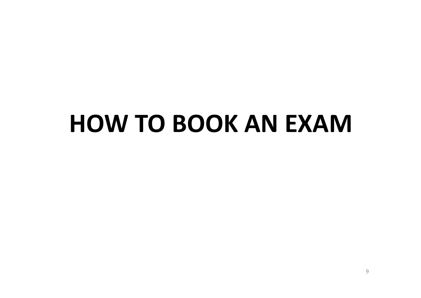# **HOW TO BOOK AN EXAM**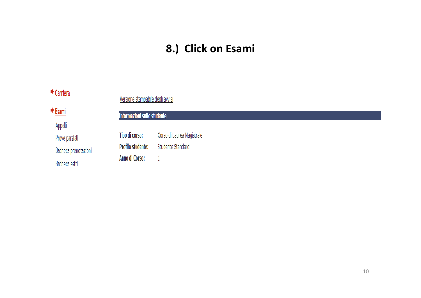## 8.) Click on Esami

| $\rightarrow$ Carriera | Versione stampabile degli avvisi   |                            |
|------------------------|------------------------------------|----------------------------|
| → Esami                | <b>Informazioni sullo studente</b> |                            |
| Appelli                |                                    |                            |
| Prove parziali         | Tipo di corso:                     | Corso di Laurea Magistrale |
| Bacheca prenotazioni   | <b>Profilo studente:</b>           | Studente Standard          |
| Bacheca esiti          | Anno di Corso:                     |                            |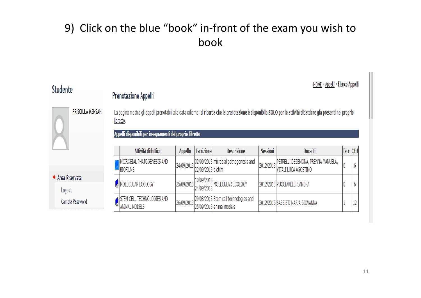## 9) Click on the blue "book" in-front of the exam you wish to book

| <b>Studente</b>                                                                                                                                                                                                                                                        |  | Prenotazione Appelli                             |                |                    |                                                                   |                 | HOME » Appelli » Elenco Appelli                                      |  |           |
|------------------------------------------------------------------------------------------------------------------------------------------------------------------------------------------------------------------------------------------------------------------------|--|--------------------------------------------------|----------------|--------------------|-------------------------------------------------------------------|-----------------|----------------------------------------------------------------------|--|-----------|
| <b>PRISCILLA MENSAH</b><br>La pagina mostra gli appelli prenotabili alla data odierna; si ricorda che la prenotazione è disponibile SOLO per le attività didattiche già presenti nel proprio<br>libretto.<br>Appelli disponibili per insegnamenti del proprio libretto |  |                                                  |                |                    |                                                                   |                 |                                                                      |  |           |
|                                                                                                                                                                                                                                                                        |  | Attività didattica                               | <b>Appello</b> | <b>Iscrizione</b>  | <b>Descrizione</b>                                                | <b>Sessioni</b> | Docenti                                                              |  | Iscr. CFU |
|                                                                                                                                                                                                                                                                        |  | MICROBIAL PHATOGENESIS AND<br>BIOFILMS           | 24/09/2013     | 22/09/2013 biofilm | 02/09/2013 microbial pathogenesis and                             |                 | 2012/2013 PETRELLI DEZEMONA, PRENNA MANUELA,<br>VITALI LUCA AGOSTINO |  | 6         |
| $\rightarrow$ Area Riservata<br>Logout                                                                                                                                                                                                                                 |  | MOLECULAR ECOLOGY                                | 25/09/2013     | 24/09/2013         | $\frac{10}{10}$ (10/09/2013)<br>MOLECULAR ECOLOGY                 |                 | 2012/2013 PUCCIARELLI SANDRA                                         |  | b         |
| Cambia Password                                                                                                                                                                                                                                                        |  | TECHNOLOGIES AND<br>CELL<br><b>ANIMAL MODELS</b> | 26/09/2013     |                    | 29/08/2013 Stem cell technologies and<br>25/09/2013 animal models |                 | 2012/2013 SABBIETI MARIA GIOVANNA                                    |  | 12        |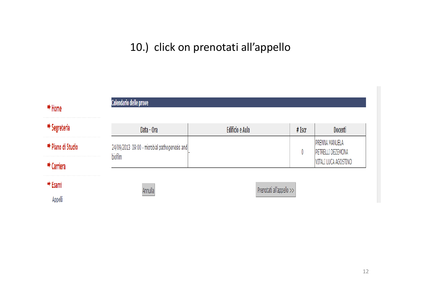## 10.) click on prenotati all'appello

| $\rightarrow$ Home<br>*******************************   | Calendario delle prove                        |                          |        |                                            |
|---------------------------------------------------------|-----------------------------------------------|--------------------------|--------|--------------------------------------------|
| $\Rightarrow$ Segreteria                                | Data - Ora                                    | <b>Edificio e Aula</b>   | # Iscr | Docenti                                    |
| → Piano di Studio                                       | 24/09/2013 09:00 - microbial pathogenesis and |                          |        | <b>PRENNA MANUELA</b><br>PETRELLI DEZEMONA |
| <b>**********************</b><br>$\rightarrow$ Carriera | biofilm                                       |                          |        | VITALI LUCA AGOSTINO                       |
| $\rightarrow$ Esami                                     | Annulla                                       | Prenotati all'appello >> |        |                                            |
| Appelli                                                 |                                               |                          |        |                                            |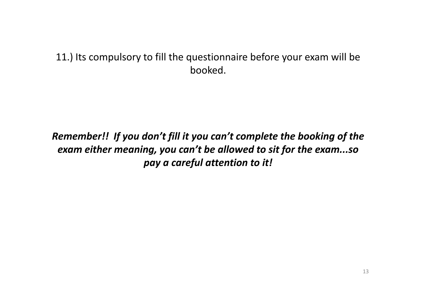#### 11.) Its compulsory to fill the questionnaire before your exam will be booked.

#### *Remember!! If you don't fill it you can't complete the booking of the exam either meaning meaning, you can t' be allowed to sit for the exam so exam...so pay <sup>a</sup> careful attention to it!*